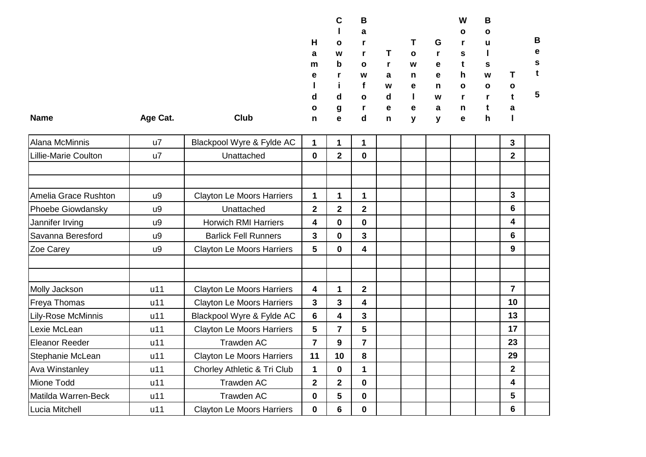|             |          |      |              | C            | В            |   |              |             | W            | В            |              |   |
|-------------|----------|------|--------------|--------------|--------------|---|--------------|-------------|--------------|--------------|--------------|---|
|             |          |      |              |              | a            |   |              |             | $\mathbf{o}$ | $\mathbf{o}$ |              |   |
|             |          |      | H            | $\mathbf{o}$ |              |   |              | G           |              | u            |              | в |
|             |          |      | a            | W            |              |   | $\mathbf{o}$ |             | s            |              |              | е |
|             |          |      | m            | $\mathbf b$  | $\mathbf{o}$ | r | W            | e           |              | s            |              | s |
|             |          |      | е            |              | W            | a | n            | e           | h            | W            |              |   |
|             |          |      |              |              |              | W | е            | n           | $\mathbf{o}$ | $\mathbf{o}$ | $\mathbf{o}$ |   |
|             |          |      | d            | d            | $\mathbf{o}$ | d |              | W           |              |              |              | 5 |
|             |          |      | $\mathbf{o}$ | g            | r            | е | е            | a           | n            |              | a            |   |
| <b>Name</b> | Age Cat. | Club | n            | e            | d            | n | v            | $\mathbf v$ | e            | h            |              |   |

| Alana McMinnis              | $\mathsf{u}$ | Blackpool Wyre & Fylde AC        | $\mathbf{1}$            | 1              | 1              |  |  | 3              |  |
|-----------------------------|--------------|----------------------------------|-------------------------|----------------|----------------|--|--|----------------|--|
| <b>Lillie-Marie Coulton</b> | u7           | Unattached                       | $\mathbf 0$             | $\mathbf 2$    | $\mathbf 0$    |  |  | $\overline{2}$ |  |
|                             |              |                                  |                         |                |                |  |  |                |  |
|                             |              |                                  |                         |                |                |  |  |                |  |
| Amelia Grace Rushton        | u9           | <b>Clayton Le Moors Harriers</b> | 1                       | 1              | 1              |  |  | 3              |  |
| Phoebe Giowdansky           | u9           | Unattached                       | $\overline{2}$          | $\overline{2}$ | $\overline{2}$ |  |  | 6              |  |
| Jannifer Irving             | u9           | <b>Horwich RMI Harriers</b>      | $\overline{\mathbf{4}}$ | $\mathbf{0}$   | $\mathbf 0$    |  |  | 4              |  |
| Savanna Beresford           | u9           | <b>Barlick Fell Runners</b>      | 3                       | $\bf{0}$       | 3              |  |  | 6              |  |
| Zoe Carey                   | u9           | <b>Clayton Le Moors Harriers</b> | 5                       | $\bf{0}$       | 4              |  |  | 9              |  |
|                             |              |                                  |                         |                |                |  |  |                |  |
|                             |              |                                  |                         |                |                |  |  |                |  |
| Molly Jackson               | u11          | <b>Clayton Le Moors Harriers</b> | 4                       | 1              | $\mathbf{2}$   |  |  | $\overline{7}$ |  |
| Freya Thomas                | u11          | <b>Clayton Le Moors Harriers</b> | $\overline{\mathbf{3}}$ | 3              | 4              |  |  | 10             |  |
| Lily-Rose McMinnis          | u11          | Blackpool Wyre & Fylde AC        | 6                       | 4              | 3              |  |  | 13             |  |
| Lexie McLean                | u11          | <b>Clayton Le Moors Harriers</b> | 5                       | $\overline{7}$ | 5              |  |  | 17             |  |
| <b>Eleanor Reeder</b>       | u11          | Trawden AC                       | 7                       | 9              | 7              |  |  | 23             |  |
| Stephanie McLean            | u11          | <b>Clayton Le Moors Harriers</b> | 11                      | 10             | 8              |  |  | 29             |  |
| <b>Ava Winstanley</b>       | u11          | Chorley Athletic & Tri Club      | 1                       | $\mathbf 0$    | 1              |  |  | $\overline{2}$ |  |
| Mione Todd                  | u11          | Trawden AC                       | $\overline{2}$          | $\overline{2}$ | $\mathbf 0$    |  |  | 4              |  |
| Matilda Warren-Beck         | u11          | Trawden AC                       | $\bf{0}$                | 5              | $\mathbf 0$    |  |  | 5              |  |
| Lucia Mitchell              | u11          | <b>Clayton Le Moors Harriers</b> | $\bf{0}$                | 6              | $\mathbf 0$    |  |  | 6              |  |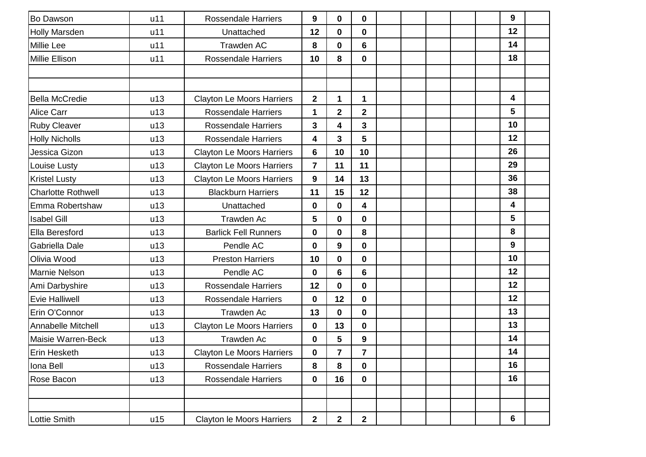| <b>Bo Dawson</b>          | u11 | <b>Rossendale Harriers</b>       | 9                       | $\mathbf 0$      | $\mathbf 0$             |  |  | 9                       |  |
|---------------------------|-----|----------------------------------|-------------------------|------------------|-------------------------|--|--|-------------------------|--|
| <b>Holly Marsden</b>      | u11 | Unattached                       | 12                      | 0                | $\bf{0}$                |  |  | 12                      |  |
| <b>Millie Lee</b>         | u11 | Trawden AC                       | 8                       | 0                | 6                       |  |  | 14                      |  |
| <b>Millie Ellison</b>     | u11 | <b>Rossendale Harriers</b>       | 10                      | 8                | $\mathbf 0$             |  |  | 18                      |  |
|                           |     |                                  |                         |                  |                         |  |  |                         |  |
|                           |     |                                  |                         |                  |                         |  |  |                         |  |
| <b>Bella McCredie</b>     | u13 | <b>Clayton Le Moors Harriers</b> | $\overline{\mathbf{2}}$ | 1                | $\mathbf 1$             |  |  | 4                       |  |
| <b>Alice Carr</b>         | u13 | <b>Rossendale Harriers</b>       | $\mathbf 1$             | $\overline{2}$   | $\mathbf{2}$            |  |  | 5                       |  |
| <b>Ruby Cleaver</b>       | u13 | <b>Rossendale Harriers</b>       | 3                       | 4                | $\overline{\mathbf{3}}$ |  |  | 10                      |  |
| <b>Holly Nicholls</b>     | u13 | <b>Rossendale Harriers</b>       | 4                       | 3                | 5                       |  |  | 12                      |  |
| Jessica Gizon             | u13 | <b>Clayton Le Moors Harriers</b> | 6                       | 10               | 10                      |  |  | 26                      |  |
| Louise Lusty              | u13 | <b>Clayton Le Moors Harriers</b> | $\overline{\mathbf{7}}$ | 11               | 11                      |  |  | 29                      |  |
| <b>Kristel Lusty</b>      | u13 | <b>Clayton Le Moors Harriers</b> | 9                       | 14               | 13                      |  |  | 36                      |  |
| <b>Charlotte Rothwell</b> | u13 | <b>Blackburn Harriers</b>        | 11                      | 15               | 12                      |  |  | 38                      |  |
| Emma Robertshaw           | u13 | Unattached                       | 0                       | 0                | $\overline{\mathbf{4}}$ |  |  | $\overline{\mathbf{4}}$ |  |
| <b>Isabel Gill</b>        | u13 | Trawden Ac                       | 5                       | $\mathbf 0$      | $\mathbf 0$             |  |  | 5                       |  |
| Ella Beresford            | u13 | <b>Barlick Fell Runners</b>      | 0                       | $\mathbf 0$      | 8                       |  |  | 8                       |  |
| Gabriella Dale            | u13 | Pendle AC                        | 0                       | $\boldsymbol{9}$ | $\mathbf 0$             |  |  | 9                       |  |
| Olivia Wood               | u13 | <b>Preston Harriers</b>          | 10                      | $\mathbf 0$      | $\mathbf 0$             |  |  | 10                      |  |
| <b>Marnie Nelson</b>      | u13 | Pendle AC                        | 0                       | 6                | 6                       |  |  | 12                      |  |
| Ami Darbyshire            | u13 | <b>Rossendale Harriers</b>       | 12                      | 0                | $\mathbf 0$             |  |  | 12                      |  |
| <b>Evie Halliwell</b>     | u13 | <b>Rossendale Harriers</b>       | 0                       | 12               | $\mathbf 0$             |  |  | 12                      |  |
| Erin O'Connor             | u13 | <b>Trawden Ac</b>                | 13                      | 0                | $\mathbf 0$             |  |  | 13                      |  |
| Annabelle Mitchell        | u13 | <b>Clayton Le Moors Harriers</b> | 0                       | 13               | $\mathbf 0$             |  |  | 13                      |  |
| Maisie Warren-Beck        | u13 | Trawden Ac                       | 0                       | 5                | $\boldsymbol{9}$        |  |  | 14                      |  |
| <b>Erin Hesketh</b>       | u13 | <b>Clayton Le Moors Harriers</b> | 0                       | $\overline{7}$   | $\overline{7}$          |  |  | 14                      |  |
| Iona Bell                 | u13 | <b>Rossendale Harriers</b>       | 8                       | 8                | $\mathbf 0$             |  |  | 16                      |  |
| Rose Bacon                | u13 | <b>Rossendale Harriers</b>       | 0                       | 16               | $\mathbf 0$             |  |  | 16                      |  |
|                           |     |                                  |                         |                  |                         |  |  |                         |  |
|                           |     |                                  |                         |                  |                         |  |  |                         |  |
| <b>Lottie Smith</b>       | u15 | Clayton le Moors Harriers        | $\mathbf{2}$            | $\mathbf{2}$     | $\mathbf{2}$            |  |  | 6                       |  |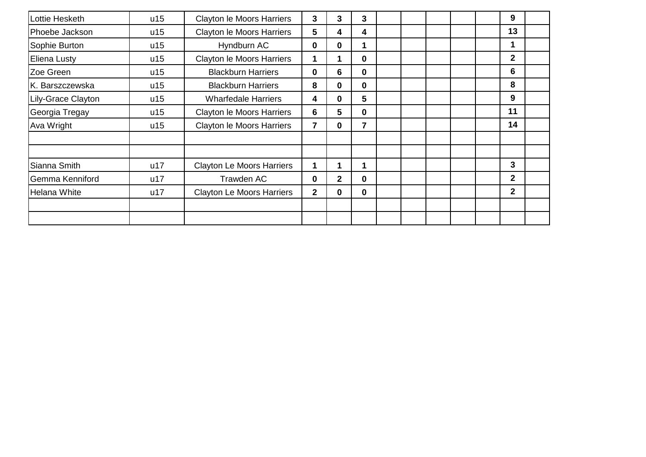| Lottie Hesketh     | u15 | <b>Clayton le Moors Harriers</b> | 3            | 3            | 3           |  |  | 9              |  |
|--------------------|-----|----------------------------------|--------------|--------------|-------------|--|--|----------------|--|
| Phoebe Jackson     | u15 | Clayton le Moors Harriers        | 5            | 4            | 4           |  |  | 13             |  |
| Sophie Burton      | u15 | Hyndburn AC                      | 0            | $\bf{0}$     | 1           |  |  | 1              |  |
| Eliena Lusty       | u15 | <b>Clayton le Moors Harriers</b> |              |              | $\bf{0}$    |  |  | $\mathbf{2}$   |  |
| Zoe Green          | u15 | <b>Blackburn Harriers</b>        | 0            | 6            | $\mathbf 0$ |  |  | 6              |  |
| K. Barszczewska    | u15 | <b>Blackburn Harriers</b>        | 8            | $\mathbf 0$  | $\mathbf 0$ |  |  | 8              |  |
| Lily-Grace Clayton | u15 | <b>Wharfedale Harriers</b>       | 4            | $\bf{0}$     | 5           |  |  | 9              |  |
| Georgia Tregay     | u15 | Clayton le Moors Harriers        | 6            | 5            | $\mathbf 0$ |  |  | 11             |  |
| Ava Wright         | u15 | <b>Clayton le Moors Harriers</b> | 7            | $\mathbf 0$  | 7           |  |  | 14             |  |
|                    |     |                                  |              |              |             |  |  |                |  |
|                    |     |                                  |              |              |             |  |  |                |  |
| Sianna Smith       | u17 | <b>Clayton Le Moors Harriers</b> | 1            | 1            | 1           |  |  | 3              |  |
| Gemma Kenniford    | u17 | Trawden AC                       | 0            | $\mathbf{2}$ | $\mathbf 0$ |  |  | $\mathbf{2}$   |  |
| Helana White       | u17 | <b>Clayton Le Moors Harriers</b> | $\mathbf{2}$ | $\bf{0}$     | $\mathbf 0$ |  |  | $\overline{2}$ |  |
|                    |     |                                  |              |              |             |  |  |                |  |
|                    |     |                                  |              |              |             |  |  |                |  |